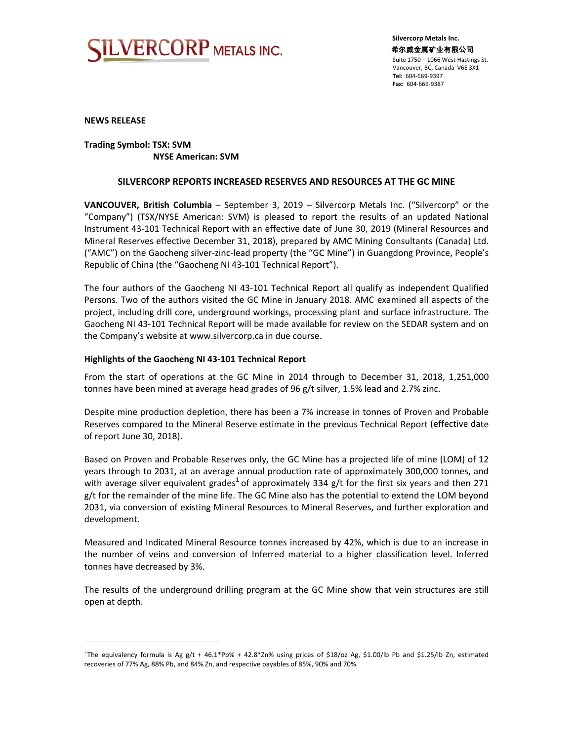# **ILVERCORP** METALS INC.

**NEWS RELEASE** 

## **Trading Symbol: TSX: SVM NYSE American: SVM**

## SILVERCORP REPORTS INCREASED RESERVES AND RESOURCES AT THE GC MINE

VANCOUVER, British Columbia - September 3, 2019 - Silvercorp Metals Inc. ("Silvercorp" or the "Company") (TSX/NYSE American: SVM) is pleased to report the results of an updated National Instrument 43-101 Technical Report with an effective date of June 30, 2019 (Mineral Resources and Mineral Reserves effective December 31, 2018), prepared by AMC Mining Consultants (Canada) Ltd. ("AMC") on the Gaocheng silver-zinc-lead property (the "GC Mine") in Guangdong Province, People's Republic of China (the "Gaocheng NI 43-101 Technical Report").

The four authors of the Gaocheng NI 43-101 Technical Report all qualify as independent Qualified Persons. Two of the authors visited the GC Mine in January 2018. AMC examined all aspects of the project, including drill core, underground workings, processing plant and surface infrastructure. The Gaocheng NI 43-101 Technical Report will be made available for review on the SEDAR system and on the Company's website at www.silvercorp.ca in due course.

## Highlights of the Gaocheng NI 43-101 Technical Report

From the start of operations at the GC Mine in 2014 through to December 31, 2018, 1,251,000 tonnes have been mined at average head grades of 96 g/t silver, 1.5% lead and 2.7% zinc.

Despite mine production depletion, there has been a 7% increase in tonnes of Proven and Probable Reserves compared to the Mineral Reserve estimate in the previous Technical Report (effective date of report June 30, 2018).

Based on Proven and Probable Reserves only, the GC Mine has a projected life of mine (LOM) of 12 years through to 2031, at an average annual production rate of approximately 300,000 tonnes, and with average silver equivalent grades<sup>1</sup> of approximately 334 g/t for the first six years and then 271 g/t for the remainder of the mine life. The GC Mine also has the potential to extend the LOM beyond 2031, via conversion of existing Mineral Resources to Mineral Reserves, and further exploration and development.

Measured and Indicated Mineral Resource tonnes increased by 42%, which is due to an increase in the number of veins and conversion of Inferred material to a higher classification level. Inferred tonnes have decreased by 3%.

The results of the underground drilling program at the GC Mine show that vein structures are still open at depth.

The equivalency formula is Ag g/t + 46.1\*Pb% + 42.8\*Zn% using prices of \$18/oz Ag, \$1.00/lb Pb and \$1.25/lb Zn, estimated recoveries of 77% Ag, 88% Pb, and 84% Zn, and respective payables of 85%, 90% and 70%.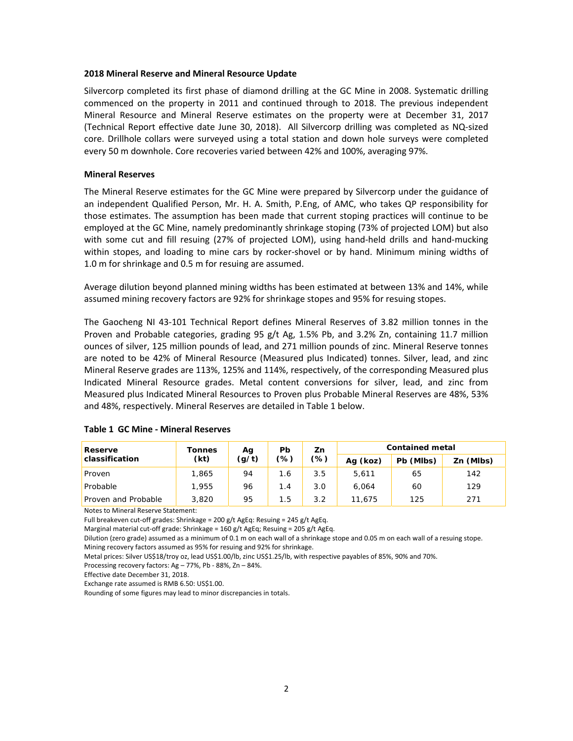#### **2018 Mineral Reserve and Mineral Resource Update**

Silvercorp completed its first phase of diamond drilling at the GC Mine in 2008. Systematic drilling commenced on the property in 2011 and continued through to 2018. The previous independent Mineral Resource and Mineral Reserve estimates on the property were at December 31, 2017 (Technical Report effective date June 30, 2018). All Silvercorp drilling was completed as NQ‐sized core. Drillhole collars were surveyed using a total station and down hole surveys were completed every 50 m downhole. Core recoveries varied between 42% and 100%, averaging 97%.

#### **Mineral Reserves**

The Mineral Reserve estimates for the GC Mine were prepared by Silvercorp under the guidance of an independent Qualified Person, Mr. H. A. Smith, P.Eng, of AMC, who takes QP responsibility for those estimates. The assumption has been made that current stoping practices will continue to be employed at the GC Mine, namely predominantly shrinkage stoping (73% of projected LOM) but also with some cut and fill resuing (27% of projected LOM), using hand-held drills and hand-mucking within stopes, and loading to mine cars by rocker-shovel or by hand. Minimum mining widths of 1.0 m for shrinkage and 0.5 m for resuing are assumed.

Average dilution beyond planned mining widths has been estimated at between 13% and 14%, while assumed mining recovery factors are 92% for shrinkage stopes and 95% for resuing stopes.

The Gaocheng NI 43-101 Technical Report defines Mineral Reserves of 3.82 million tonnes in the Proven and Probable categories, grading 95 g/t Ag, 1.5% Pb, and 3.2% Zn, containing 11.7 million ounces of silver, 125 million pounds of lead, and 271 million pounds of zinc. Mineral Reserve tonnes are noted to be 42% of Mineral Resource (Measured plus Indicated) tonnes. Silver, lead, and zinc Mineral Reserve grades are 113%, 125% and 114%, respectively, of the corresponding Measured plus Indicated Mineral Resource grades. Metal content conversions for silver, lead, and zinc from Measured plus Indicated Mineral Resources to Proven plus Probable Mineral Reserves are 48%, 53% and 48%, respectively. Mineral Reserves are detailed in Table 1 below.

| Reserve<br>classification | Tonnes<br>(kt) | Αg<br>(g/t) | Pb<br>(%) | Zn<br>$(\%)$ | <b>Contained metal</b> |           |           |
|---------------------------|----------------|-------------|-----------|--------------|------------------------|-----------|-----------|
|                           |                |             |           |              | Ag (koz)               | Pb (MIbs) | Zn (Mlbs) |
| Proven                    | 1.865          | 94          | 1.6       | 3.5          | 5.611                  | 65        | 142       |
| Probable                  | 1,955          | 96          | 1.4       | 3.0          | 6.064                  | 60        | 129       |
| Proven and Probable       | 3,820          | 95          | 1.5       | 3.2          | 11.675                 | 125       | 271       |

#### **Table 1 GC Mine ‐ Mineral Reserves**

Notes to Mineral Reserve Statement:

Full breakeven cut‐off grades: Shrinkage = 200 g/t AgEq: Resuing = 245 g/t AgEq.

Marginal material cut-off grade: Shrinkage = 160 g/t AgEq; Resuing = 205 g/t AgEq.

Dilution (zero grade) assumed as a minimum of 0.1 m on each wall of a shrinkage stope and 0.05 m on each wall of a resuing stope. Mining recovery factors assumed as 95% for resuing and 92% for shrinkage.

Metal prices: Silver US\$18/troy oz, lead US\$1.00/lb, zinc US\$1.25/lb, with respective payables of 85%, 90% and 70%.

Processing recovery factors: Ag – 77%, Pb ‐ 88%, Zn – 84%.

Effective date December 31, 2018.

Exchange rate assumed is RMB 6.50: US\$1.00.

Rounding of some figures may lead to minor discrepancies in totals.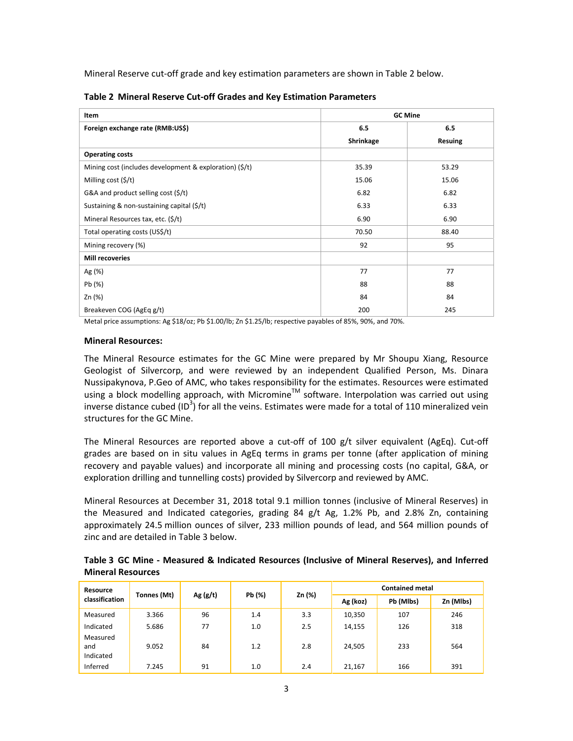Mineral Reserve cut‐off grade and key estimation parameters are shown in Table 2 below.

| Item                                                             | <b>GC Mine</b> |                |  |  |
|------------------------------------------------------------------|----------------|----------------|--|--|
| Foreign exchange rate (RMB:US\$)                                 | 6.5            | 6.5            |  |  |
|                                                                  | Shrinkage      | <b>Resuing</b> |  |  |
| <b>Operating costs</b>                                           |                |                |  |  |
| Mining cost (includes development & exploration) $(\frac{5}{t})$ | 35.39          | 53.29          |  |  |
| Milling cost $(\frac{5}{t})$                                     | 15.06          | 15.06          |  |  |
| G&A and product selling cost $(\frac{5}{t})$                     | 6.82           | 6.82           |  |  |
| Sustaining & non-sustaining capital $(\frac{2}{3})$              | 6.33           | 6.33           |  |  |
| Mineral Resources tax, etc. (\$/t)                               | 6.90           | 6.90           |  |  |
| Total operating costs (US\$/t)                                   | 70.50          | 88.40          |  |  |
| Mining recovery (%)                                              | 92             | 95             |  |  |
| <b>Mill recoveries</b>                                           |                |                |  |  |
| Ag $(\%)$                                                        | 77             | 77             |  |  |
| Pb (%)                                                           | 88             | 88             |  |  |
| Zn (%)                                                           | 84             | 84             |  |  |
| Breakeven COG (AgEq g/t)                                         | 200            | 245            |  |  |

**Table 2 Mineral Reserve Cut‐off Grades and Key Estimation Parameters** 

Metal price assumptions: Ag \$18/oz; Pb \$1.00/lb; Zn \$1.25/lb; respective payables of 85%, 90%, and 70%.

### **Mineral Resources:**

The Mineral Resource estimates for the GC Mine were prepared by Mr Shoupu Xiang, Resource Geologist of Silvercorp, and were reviewed by an independent Qualified Person, Ms. Dinara Nussipakynova, P.Geo of AMC, who takes responsibility for the estimates. Resources were estimated using a block modelling approach, with Micromine<sup>TM</sup> software. Interpolation was carried out using inverse distance cubed (ID<sup>3</sup>) for all the veins. Estimates were made for a total of 110 mineralized vein structures for the GC Mine.

The Mineral Resources are reported above a cut-off of  $100$  g/t silver equivalent (AgEq). Cut-off grades are based on in situ values in AgEq terms in grams per tonne (after application of mining recovery and payable values) and incorporate all mining and processing costs (no capital, G&A, or exploration drilling and tunnelling costs) provided by Silvercorp and reviewed by AMC.

Mineral Resources at December 31, 2018 total 9.1 million tonnes (inclusive of Mineral Reserves) in the Measured and Indicated categories, grading 84 g/t Ag, 1.2% Pb, and 2.8% Zn, containing approximately 24.5 million ounces of silver, 233 million pounds of lead, and 564 million pounds of zinc and are detailed in Table 3 below.

**Table 3 GC Mine ‐ Measured & Indicated Resources (Inclusive of Mineral Reserves), and Inferred Mineral Resources**

| Resource<br>classification   | Tonnes (Mt) | Ag $(g/t)$ | Pb (%) | Zn (%) | <b>Contained metal</b> |           |           |
|------------------------------|-------------|------------|--------|--------|------------------------|-----------|-----------|
|                              |             |            |        |        | Ag (koz)               | Pb (Mlbs) | Zn (Mlbs) |
| Measured                     | 3.366       | 96         | 1.4    | 3.3    | 10,350                 | 107       | 246       |
| Indicated                    | 5.686       | 77         | 1.0    | 2.5    | 14,155                 | 126       | 318       |
| Measured<br>and<br>Indicated | 9.052       | 84         | 1.2    | 2.8    | 24,505                 | 233       | 564       |
| Inferred                     | 7.245       | 91         | 1.0    | 2.4    | 21,167                 | 166       | 391       |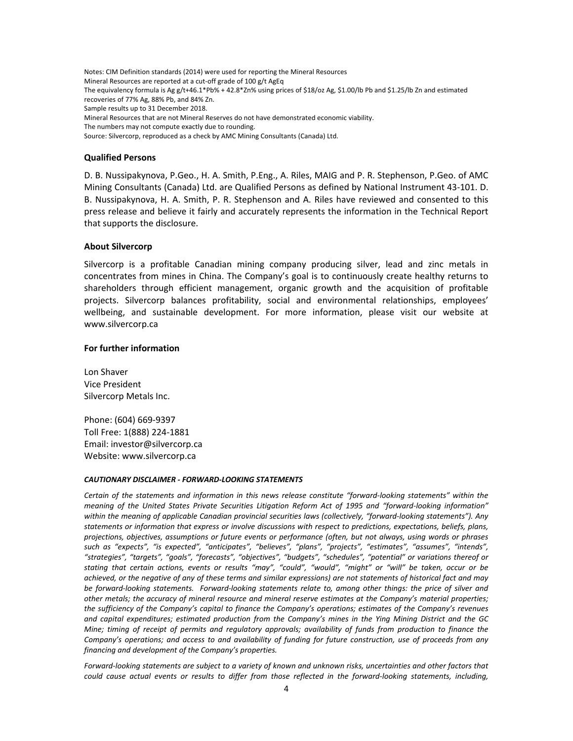Notes: CIM Definition standards (2014) were used for reporting the Mineral Resources Mineral Resources are reported at a cut‐off grade of 100 g/t AgEq The equivalency formula is Ag g/t+46.1\*Pb% + 42.8\*Zn% using prices of \$18/oz Ag, \$1.00/lb Pb and \$1.25/lb Zn and estimated recoveries of 77% Ag, 88% Pb, and 84% Zn. Sample results up to 31 December 2018. Mineral Resources that are not Mineral Reserves do not have demonstrated economic viability. The numbers may not compute exactly due to rounding. Source: Silvercorp, reproduced as a check by AMC Mining Consultants (Canada) Ltd.

#### **Qualified Persons**

D. B. Nussipakynova, P.Geo., H. A. Smith, P.Eng., A. Riles, MAIG and P. R. Stephenson, P.Geo. of AMC Mining Consultants (Canada) Ltd. are Qualified Persons as defined by National Instrument 43‐101. D. B. Nussipakynova, H. A. Smith, P. R. Stephenson and A. Riles have reviewed and consented to this press release and believe it fairly and accurately represents the information in the Technical Report that supports the disclosure.

#### **About Silvercorp**

Silvercorp is a profitable Canadian mining company producing silver, lead and zinc metals in concentrates from mines in China. The Company's goal is to continuously create healthy returns to shareholders through efficient management, organic growth and the acquisition of profitable projects. Silvercorp balances profitability, social and environmental relationships, employees' wellbeing, and sustainable development. For more information, please visit our website at www.silvercorp.ca

#### **For further information**

Lon Shaver Vice President Silvercorp Metals Inc.

Phone: (604) 669‐9397 Toll Free: 1(888) 224‐1881 Email: investor@silvercorp.ca Website: www.silvercorp.ca

#### *CAUTIONARY DISCLAIMER ‐ FORWARD‐LOOKING STATEMENTS*

*Certain of the statements and information in this news release constitute "forward‐looking statements" within the meaning of the United States Private Securities Litigation Reform Act of 1995 and "forward‐looking information" within the meaning of applicable Canadian provincial securities laws (collectively, "forward‐looking statements"). Any statements or information that express or involve discussions with respect to predictions, expectations, beliefs, plans, projections, objectives, assumptions or future events or performance (often, but not always, using words or phrases such as "expects", "is expected", "anticipates", "believes", "plans", "projects", "estimates", "assumes", "intends", "strategies", "targets", "goals", "forecasts", "objectives", "budgets", "schedules", "potential" or variations thereof or stating that certain actions, events or results "may", "could", "would", "might" or "will" be taken, occur or be achieved, or the negative of any of these terms and similar expressions) are not statements of historical fact and may be forward‐looking statements. Forward‐looking statements relate to, among other things: the price of silver and other metals; the accuracy of mineral resource and mineral reserve estimates at the Company's material properties; the sufficiency of the Company's capital to finance the Company's operations; estimates of the Company's revenues and capital expenditures; estimated production from the Company's mines in the Ying Mining District and the GC Mine; timing of receipt of permits and regulatory approvals; availability of funds from production to finance the Company's operations; and access to and availability of funding for future construction, use of proceeds from any financing and development of the Company's properties.* 

*Forward‐looking statements are subject to a variety of known and unknown risks, uncertainties and other factors that could cause actual events or results to differ from those reflected in the forward‐looking statements, including,*